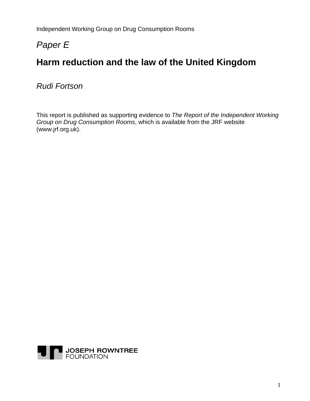Independent Working Group on Drug Consumption Rooms

# *Paper E*

# **Harm reduction and the law of the United Kingdom**

*Rudi Fortson* 

This report is published as supporting evidence to *The Report of the Independent Working Group on Drug Consumption Rooms*, which is available from the JRF website (www.jrf.org.uk).

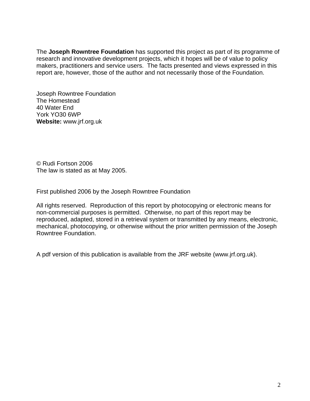The **Joseph Rowntree Foundation** has supported this project as part of its programme of research and innovative development projects, which it hopes will be of value to policy makers, practitioners and service users. The facts presented and views expressed in this report are, however, those of the author and not necessarily those of the Foundation.

Joseph Rowntree Foundation The Homestead 40 Water End York YO30 6WP **Website:** www.jrf.org.uk

© Rudi Fortson 2006 The law is stated as at May 2005.

First published 2006 by the Joseph Rowntree Foundation

All rights reserved. Reproduction of this report by photocopying or electronic means for non-commercial purposes is permitted. Otherwise, no part of this report may be reproduced, adapted, stored in a retrieval system or transmitted by any means, electronic, mechanical, photocopying, or otherwise without the prior written permission of the Joseph Rowntree Foundation.

A pdf version of this publication is available from the JRF website (www.jrf.org.uk).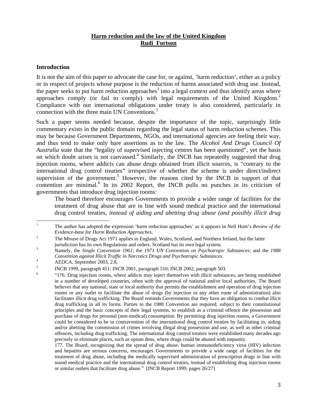# **Harm reduction and the law of the United Kingdom Rudi Fortson**

## **Introduction**

It is not the aim of this paper to advocate the case for, or against, 'harm reduction', either as a policy or in respect of projects whose purpose is the reduction of harms associated with drug use. Instead, the paper seeks to put harm reduction approaches<sup>1</sup> into a legal context and thus identify areas where approaches comply (or fail to comply) with legal requirements of the United Kingdom.<sup>2</sup> Compliance with our international obligations under treaty is also considered, particularly in connection with the three main UN Conventions.<sup>3</sup>

Such a paper seems needed because, despite the importance of the topic, surprisingly little commentary exists in the public domain regarding the legal status of harm reduction schemes. This may be because Government Departments, NGOs, and international agencies are feeling their way, and thus tend to make only bare assertions as to the law. The *Alcohol And Drugs Council Of Australia* state that the "legality of supervised injecting centres has been questioned", yet the basis on which doubt arises is not canvassed.<sup>4</sup> Similarly, the INCB has repeatedly suggested that drug injection rooms, where addicts can abuse drugs obtained from illicit sources, is "contrary to the international drug control treaties" irrespective of whether the scheme is under direct/indirect supervision of the government.<sup>5</sup> However, the reasons cited by the INCB in support of that contention are minimal.<sup>6</sup> In its 2002 Report, the INCB pulls no punches in its criticism of governments that introduce drug injection rooms:

The board therefore encourages Governments to provide a wider range of facilities for the treatment of drug abuse that are in line with sound medical practice and the international drug control treaties, *instead of aiding and abetting drug abuse (and possibly illicit drug* 

 $\frac{1}{1}$  The author has adopted the expression 'harm reduction approaches' as it appears in Neil Hunt's *Review of the Evidence-base for Harm Reduction Approaches*. 2

The Misuse of Drugs Act 1971 applies to England, Wales, Scotland, and Northern Ireland, but the latter jurisdiction has its own Regulations and orders. Scotland has its own legal system.

Namely, the *Single Convention 1961*; the *1971 UN Convention on Psychotropic Substances*; and the *1988 Convention against Illicit Traffic in Narcotics Drugs and Psychotropic Substances*. 4

AEDCA, September 2003, 2.8.

<sup>5</sup> INCB 1999, paragraph 451; INCB 2001, paragraph 510; INCB 2002, paragraph 503. 6

 <sup>&</sup>quot;176. Drug injection rooms, where addicts may inject themselves with illicit substances, are being established in a number of developed countries, often with the approval of national and/or local authorities. The Board believes that any national, state or local authority that permits the establishment and operation of drug injection rooms or any outlet to facilitate the abuse of drugs (by injection or any other route of administration) also facilitates illicit drug trafficking. The Board reminds Governments that they have an obligation to combat illicit drug trafficking in all its forms. Parties to the 1988 Convention are required, subject to their constitutional principles and the basic concepts of their legal systems, to establish as a criminal offence the possession and purchase of drugs for personal (non-medical) consumption. By permitting drug injection rooms, a Government could be considered to be in contravention of the international drug control treaties by facilitating in, aiding and/or abetting the commission of crimes involving illegal drug possession and use, as well as other criminal offences, including drug trafficking. The international drug control treaties were established many decades ago precisely to eliminate places, such as opium dens, where drugs could be abused with impunity.

<sup>177.</sup> The Board, recognizing that the spread of drug abuse, human immunodeficiency virus (HIV) infection and hepatitis are serious concerns, encourages Governments to provide a wide range of facilities for the treatment of drug abuse, including the medically supervised administration of prescription drugs in line with sound medical practice and the international drug control treaties, instead of establishing drug injection rooms or similar outlets that facilitate drug abuse." [INCB Report 1999, pages 26/27]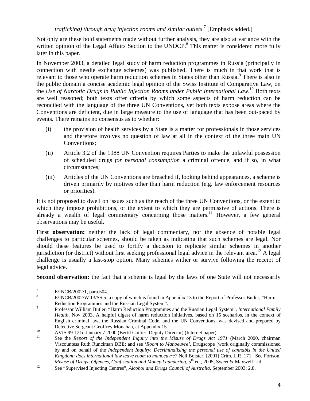*trafficking) through drug injection rooms and similar outlets*. 7 [Emphasis added.]

Not only are these bold statements made without further analysis, they are also at variance with the written opinion of the Legal Affairs Section to the UNDCP.<sup>8</sup> This matter is considered more fully later in this paper.

In November 2003, a detailed legal study of harm reduction programmes in Russia (principally in connection with needle exchange schemes) was published. There is much in that work that is relevant to those who operate harm reduction schemes in States other than Russia.<sup>9</sup> There is also in the public domain a concise academic legal opinion of the Swiss Institute of Comparative Law, on the *Use of Narcotic Drugs in Public Injection Rooms under Public International Law*. 10 Both texts are well reasoned; both texts offer criteria by which some aspects of harm reduction can be reconciled with the language of the three UN Conventions, yet both texts expose areas where the Conventions are deficient, due in large measure to the use of language that has been out-paced by events. There remains no consensus as to whether:

- (i) the provision of health services by a State is a matter for professionals in those services and therefore involves no question of law at all in the context of the three main UN Conventions;
- (ii) Article 3.2 of the 1988 UN Convention requires Parties to make the unlawful possession of scheduled drugs *for personal consumption* a criminal offence, and if so, in what circumstances;
- (iii) Articles of the UN Conventions are breached if, looking behind appearances, a scheme is driven primarily by motives other than harm reduction (e.g. law enforcement resources or priorities).

It is not proposed to dwell on issues such as the reach of the three UN Conventions, or the extent to which they impose prohibitions, or the extent to which they are permissive of actions. There is already a wealth of legal commentary concerning those matters.<sup>11</sup> However, a few general observations may be useful.

**First observation:** neither the lack of legal commentary, nor the absence of notable legal challenges to particular schemes, should be taken as indicating that such schemes are legal. Nor should these features be used to fortify a decision to replicate similar schemes in another jurisdiction (or district) without first seeking professional legal advice in the relevant area.<sup>12</sup> A legal challenge is usually a last-stop option. Many schemes wither or survive following the receipt of legal advice.

**Second observation:** the fact that a scheme is legal by the laws of one State will not necessarily

<sup>-&</sup>lt;br>7 E/INCB/2002/1, para.504.

<sup>8</sup> E/INCB/2002/W.13/SS.5; a copy of which is found in Appendix 13 to the Report of Professor Butler, "Harm Reduction Programmes and the Russian Legal System".

Professor William Butler, "Harm Reduction Programmes and the Russian Legal System", *International Family Health*, Nov 2003. A helpful digest of harm reduction initiatives, based on 15 scenarios, in the context of English criminal law, the Russian Criminal Code, and the UN Conventions, was devised and prepared by

Detective Sergeant Geoffrey Monahan, at Appendix 15.<br>
AVIS 99-121c January 7 2000 (Bertil Cottier, Deputy Director) (Internet paper).

<sup>11</sup> See the *Report of the Independent Inquiry into the Misuse of Drugs Act 1971* (March 2000, chairman Viscountess Ruth Runciman DBE; and see '*Room to Manoeuvre'*, Drugscope [work originally commissioned by and on behalf of the *Independent Inquiry*; *Decriminalising the personal use of cannabis in the United Kingdom: does international law leave room to manoeuvre?* Neil Boister, [2001] Crim. L.R. 171. See Fortson,

*Misuse of Drugs: Offences, Confiscation and Money Laundering*, 5<sup>th</sup> ed., 2005, Sweet & Maxwell Ltd.<br><sup>12</sup> See "Supervised Injecting Centres", *Alcohol and Drugs Council of Australia*, September 2003; 2.8.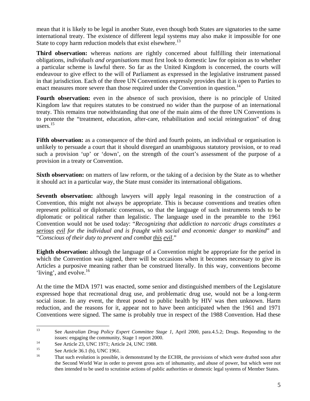mean that it is likely to be legal in another State, even though both States are signatories to the same international treaty. The existence of different legal systems may also make it impossible for one State to copy harm reduction models that exist elsewhere.<sup>13</sup>

**Third observation:** whereas *nations* are rightly concerned about fulfilling their international obligations, *individuals and organisations* must first look to domestic law for opinion as to whether a particular scheme is lawful there. So far as the United Kingdom is concerned, the courts will endeavour to give effect to the will of Parliament as expressed in the legislative instrument passed in that jurisdiction. Each of the three UN Conventions expressly provides that it is open to Parties to enact measures more severe than those required under the Convention in question.<sup>14</sup>

**Fourth observation:** even in the absence of such provision, there is no principle of United Kingdom law that requires statutes to be construed no wider than the purpose of an international treaty. This remains true notwithstanding that one of the main aims of the three UN Conventions is to promote the "treatment, education, after-care, rehabilitation and social reintegration" of drug users. $15$ 

**Fifth observation:** as a consequence of the third and fourth points, an individual or organisation is unlikely to persuade a court that it should disregard an unambiguous statutory provision, or to read such a provision 'up' or 'down', on the strength of the court's assessment of the purpose of a provision in a treaty or Convention.

**Sixth observation:** on matters of law reform, or the taking of a decision by the State as to whether it should act in a particular way, the State must consider its international obligations.

**Seventh observation:** although lawyers will apply legal reasoning in the construction of a Convention, this might not always be appropriate. This is because conventions and treaties often represent political or diplomatic consensus, so that the language of such instruments tends to be diplomatic or political rather than legalistic. The language used in the preamble to the 1961 Convention would not be used today: "*Recognizing that addiction to narcotic drugs constitutes a serious evil for the individual and is fraught with social and economic danger to mankind*" and "*Conscious of their duty to prevent and combat this evil*."

**Eighth observation:** although the language of a Convention might be appropriate for the period in which the Convention was signed, there will be occasions when it becomes necessary to give its Articles a purposive meaning rather than be construed literally. In this way, conventions become 'living', and evolve. $^{16}$ 

At the time the MDA 1971 was enacted, some senior and distinguished members of the Legislature expressed hope that recreational drug use, and problematic drug use, would not be a long-term social issue. In any event, the threat posed to public health by HIV was then unknown. Harm reduction, and the reasons for it, appear not to have been anticipated when the 1961 and 1971 Conventions were signed. The same is probably true in respect of the 1988 Convention. Had these

<sup>13</sup> 13 See *Australian Drug Policy Expert Committee Stage 1*, April 2000, para.4.5.2; Drugs. Responding to the issues: engaging the community, Stage 1 report 2000.<br>
See Article 23, UNC 1971; Article 24, UNC 1988.<br>  $\frac{15}{2}$ 

<sup>&</sup>lt;sup>15</sup> See Article 36.1 (b), UNC 1961.

That such evolution is possible, is demonstrated by the ECHR, the provisions of which were drafted soon after the Second World War in order to prevent gross acts of inhumanity, and abuse of power, but which were not then intended to be used to scrutinise actions of public authorities or domestic legal systems of Member States.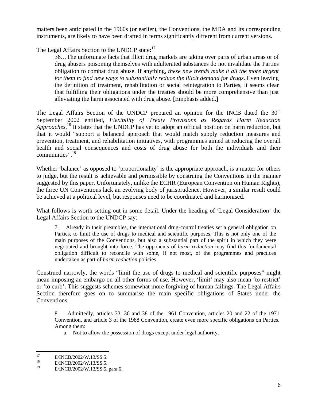matters been anticipated in the 1960s (or earlier), the Conventions, the MDA and its corresponding instruments, are likely to have been drafted in terms significantly different from current versions.

The Legal Affairs Section to the UNDCP state:<sup>17</sup>

36…The unfortunate facts that illicit drug markets are taking over parts of urban areas or of drug abusers poisoning themselves with adulterated substances do not invalidate the Parties obligation to combat drug abuse. If anything, *these new trends make it all the more urgent for them to find new ways to substantially reduce the illicit demand for drugs*. Even leaving the definition of treatment, rehabilitation or social reintegration to Parties, it seems clear that fulfilling their obligations under the treaties should be more comprehensive than just alleviating the harm associated with drug abuse. [Emphasis added.]

The Legal Affairs Section of the UNDCP prepared an opinion for the INCB dated the  $30<sup>th</sup>$ September 2002 entitled, *Flexibility of Treaty Provisions as Regards Harm Reduction Approaches*. 18 It states that the UNDCP has yet to adopt an official position on harm reduction, but that it would "support a balanced approach that would match supply reduction measures and prevention, treatment, and rehabilitation initiatives, with programmes aimed at reducing the overall health and social consequences and costs of drug abuse for both the individuals and their communities".19

Whether 'balance' as opposed to 'proportionality' is the appropriate approach, is a matter for others to judge, but the result is achievable and permissible by construing the Conventions in the manner suggested by this paper. Unfortunately, unlike the ECHR (European Convention on Human Rights), the three UN Conventions lack an evolving body of jurisprudence. However, a similar result could be achieved at a political level, but responses need to be coordinated and harmonised.

What follows is worth setting out in some detail. Under the heading of 'Legal Consideration' the Legal Affairs Section to the UNDCP say:

7. Already in their preambles, the international drug-control treaties set a general obligation on Parties, to limit the use of drugs to medical and scientific purposes. This is not only one of the main purposes of the Conventions, but also a substantial part of the spirit in which they were negotiated and brought into force. The opponents of *harm reduction* may find this fundamental obligation difficult to reconcile with some, if not most, of the programmes and practices undertaken as part of *harm reduction* policies.

Construed narrowly, the words "limit the use of drugs to medical and scientific purposes" might mean imposing an embargo on all other forms of use. However, 'limit' may also mean 'to restrict' or 'to curb'. This suggests schemes somewhat more forgiving of human failings. The Legal Affairs Section therefore goes on to summarise the main specific obligations of States under the Conventions:

8. Admittedly, articles 33, 36 and 38 of the 1961 Convention, articles 20 and 22 of the 1971 Convention, and article 3 of the 1988 Convention, create even more specific obligations on Parties. Among them:

a. Not to allow the possession of drugs except under legal authority.

<sup>17</sup> <sup>17</sup> E/INCB/2002/W.13/SS.5.

<sup>&</sup>lt;sup>18</sup> E/INCB/2002/W.13/SS.5.<br><sup>19</sup> E/INCB/2002/W/13/SS.5.

<sup>19</sup> E/INCB/2002/W.13/SS.5, para.6.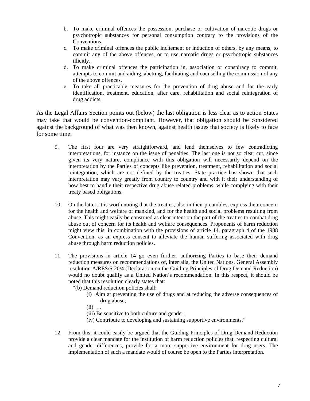- b. To make criminal offences the possession, purchase or cultivation of narcotic drugs or psychotropic substances for personal consumption contrary to the provisions of the Conventions.
- c. To make criminal offences the public incitement or induction of others, by any means, to commit any of the above offences, or to use narcotic drugs or psychotropic substances illicitly.
- d. To make criminal offences the participation in, association or conspiracy to commit, attempts to commit and aiding, abetting, facilitating and counselling the commission of any of the above offences.
- e. To take all practicable measures for the prevention of drug abuse and for the early identification, treatment, education, after care, rehabilitation and social reintegration of drug addicts.

As the Legal Affairs Section points out (below) the last obligation is less clear as to action States may take that would be convention-compliant. However, that obligation should be considered against the background of what was then known, against health issues that society is likely to face for some time:

- 9. The first four are very straightforward, and lend themselves to few contradicting interpretations, for instance on the issue of penalties. The last one is not so clear cut, since given its very nature, compliance with this obligation will necessarily depend on the interpretation by the Parties of concepts like prevention, treatment, rehabilitation and social reintegration, which are not defined by the treaties. State practice has shown that such interpretation may vary greatly from country to country and with it their understanding of how best to handle their respective drug abuse related problems, while complying with their treaty based obligations.
- 10. On the latter, it is worth noting that the treaties, also in their preambles, express their concern for the health and welfare of mankind, and for the health and social problems resulting from abuse. This might easily be construed as clear intent on the part of the treaties to combat drug abuse out of concern for its health and welfare consequences. Proponents of harm reduction might view this, in combination with the provisions of article 14, paragraph 4 of the 1988 Convention, as an express consent to alleviate the human suffering associated with drug abuse through harm reduction policies.
- 11. The provisions in article 14 go even further, authorizing Parties to base their demand reduction measures on recommendations of, inter alia, the United Nations. General Assembly resolution A/RES/S 20/4 (Declaration on the Guiding Principles of Drug Demand Reduction) would no doubt qualify as a United Nation's recommendation. In this respect, it should be noted that this resolution clearly states that:
	- "(b) Demand reduction policies shall:
		- (i) Aim at preventing the use of drugs and at reducing the adverse consequences of drug abuse;
		- $(ii)$  ...
		- (iii) Be sensitive to both culture and gender;
		- (iv) Contribute to developing and sustaining supportive environments."
- 12. From this, it could easily be argued that the Guiding Principles of Drug Demand Reduction provide a clear mandate for the institution of harm reduction policies that, respecting cultural and gender differences, provide for a more supportive environment for drug users. The implementation of such a mandate would of course be open to the Parties interpretation.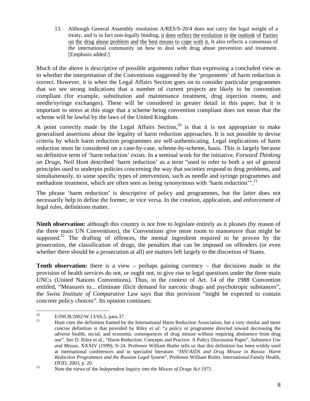13. Although General Assembly resolution A/RES/S-20/4 does not carry the legal weight of a treaty, and is in fact non-legally binding, it does reflect the evolution in the outlook of Parties on the drug abuse problem and the best means to cope with it. It also reflects a consensus of the international community on how to deal with drug abuse prevention and treatment. [Emphasis added.]

Much of the above is descriptive of possible arguments rather than expressing a concluded view as to whether the interpretation of the Conventions suggested by the 'proponents' of harm reduction is correct. However, it is when the Legal Affairs Section goes on to consider particular programmes that we see strong indications that a number of current projects are likely to be convention compliant (for example, substitution and maintenance treatment, drug injection rooms, and needle/syringe exchanges). These will be considered in greater detail in this paper, but it is important to stress at this stage that a scheme being convention compliant does not mean that the scheme will be lawful by the laws of the United Kingdom.

A point correctly made by the Legal Affairs Section,<sup>20</sup> is that it is not appropriate to make generalised assertions about the legality of harm reduction approaches. It is not possible to devise criteria by which harm reduction programmes are self-authenticating. Legal implications of harm reduction must be considered on a case-by-case, scheme-by-scheme, basis. This is largely because no definitive term of 'harm reduction' exists. In a seminal work for the initiative, *Forward Thinking on Drugs*, Neil Hunt described 'harm reduction' as a term "used to refer to both a set of general principles used to underpin policies concerning the way that societies respond to drug problems, and simultaneously, to some specific types of intervention, such as needle and syringe programmes and methadone treatment, which are often seen as being synonymous with 'harm reduction'".<sup>21</sup>

The phrase 'harm reduction' is descriptive of policy and programmes, but the latter does not necessarily help to define the former, or vice versa. In the creation, application, and enforcement of legal rules, definitions matter.

**Ninth observation:** although this country is not free to legislate entirely as it pleases (by reason of the three main UN Conventions), the Conventions give more room to manoeuvre than might be supposed.<sup>22</sup> The drafting of offences, the mental ingredient required to be proven by the prosecution, the classification of drugs, the penalties that can be imposed on offenders (or even whether there should be a prosecution at all) are matters left largely to the discretion of States.

**Tenth observation:** there is a view – perhaps gaining currency – that decisions made in the provision of health services do not, or ought not, to give rise to legal questions under the three main UNCs (United Nations Conventions). Thus, in the context of Art. 14 of the 1988 Convention entitled, "Measures to... eliminate illicit demand for narcotic drugs and psychotropic substances", the *Swiss Institute of Comparative Law* says that this provision "might be expected to contain concrete policy choices". Its opinion continues:

 $20\,$  $^{20}$  E/INCB/2002/W.13/SS.5, para.37.

<sup>21</sup> Hunt cites the definition framed by the International Harm Reduction Association, but a very similar and more concise definition is that provided by Riley *et al*: "a policy or programme directed toward decreasing the adverse health, social, and economic consequences of drug misuse without requiring abstinence from drug use". See D. Riley et al., "Harm Reduction: Concepts and Practice. A Policy Discussion Paper", *Substance Use and Misuse*, XXXIV (1999), 9–24. Professor William Butler tells us that this definition has been widely used at international conferences and in specialist literature. "*HIV/AIDS and Drug Misuse in Russia: Harm Reduction Programmes and the Russian Legal System*", Professor William Butler, International Family Health, DFID, 2003, p. 20.<br><sup>22</sup> Note the views of the *Independent Inquiry into the Misuse of Drugs Act 1971*.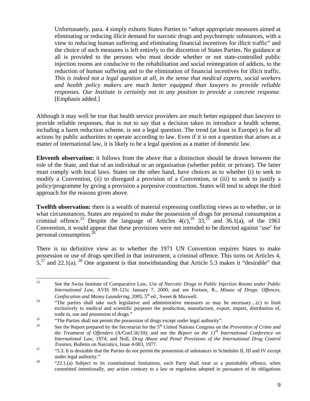Unfortunately, para. 4 simply exhorts States Parties to "adopt appropriate measures aimed at eliminating or reducing illicit demand for narcotic drugs and psychotropic substances, with a view to reducing human suffering and eliminating financial incentives for illicit traffic" and the choice of such measures is left entirely to the discretion of States Parties. No guidance at all is provided to the persons who must decide whether or not state-controlled public injection rooms are conducive to the rehabilitation and social reintegration of addicts, to the reduction of human suffering and to the elimination of financial incentives for illicit traffic. *This is indeed not a legal question at all, in the sense that medical experts, social workers and health policy makers are much better equipped than lawyers to provide reliable responses. Our Institute is certainly not in any position to provide a concrete response*. [Emphasis added.]

Although it may well be true that health service providers are much better equipped than lawyers to provide reliable responses, that is not to say that a decision taken to introduce a health scheme, including a harm reduction scheme, is not a legal question. The trend (at least in Europe) is for all actions by public authorities to operate according to law. Even if it is not a question that arises as a matter of international law, it is likely to be a legal question as a matter of domestic law.

**Eleventh observation:** it follows from the above that a distinction should be drawn between the role of the State, and that of an individual or an organisation (whether public or private). The latter must comply with local laws. States on the other hand, have choices as to whether (i) to seek to modify a Convention, (ii) to disregard a provision of a Convention, or (iii) to seek to justify a policy/programme by giving a provision a purposive construction. States will tend to adopt the third approach for the reasons given above.

**Twelfth observation:** there is a wealth of material expressing conflicting views as to whether, or in what circumstances, States are required to make the possession of drugs for personal consumption a criminal offence.<sup>23</sup> Despite the language of Articles  $4(c)$ ,<sup>24</sup> 33,<sup>25</sup> and 36.1(a), of the 1961 Convention, it would appear that these provisions were not intended to be directed against 'use' for personal consumption.<sup>26</sup>

There is no definitive view as to whether the 1971 UN Convention requires States to make possession or use of drugs specified in that instrument, a criminal offence. This turns on Articles 4,  $5<sup>27</sup>$  and 22.1(a). <sup>28</sup> One argument is that notwithstanding that Article 5.3 makes it "desirable" that

<sup>23</sup> 23 See the Swiss Institute of Comparative Law, *Use of Narcotic Drugs in Public Injection Rooms under Public International Law*, AVIS 99–121c January 7, 2000; and see Fortson, R., *Misuse of Drugs: Offences, Confiscation and Money Laundering, 2005, 5<sup>th</sup> ed., Sweet & Maxwell.*<br><sup>24</sup> "The parties shall take such legislative and administrative measures as may be necessary...(c) to limit

exclusively to medical and scientific purposes the production, manufacture, export, import, distribution of, trade in, use and possession of drugs."<br>
"The Parties shall not permit the possession of drugs except under legal authority".<br>
See the Penort prepared by the Secretarist for the 5<sup>th</sup> United Nations Congress on t

See the Report prepared by the Secretariat for the 5<sup>th</sup> United Nations Congress on the *Prevention of Crime and the Treatment of Offenders* (A/Conf.56/10); and see the *Report on the 11th International Conference on International Law*, 1974; and Noll, *Drug Abuse and Penal Provisions of the International Drug Control* 

*Treaties*, Bulletin on Narcotics, Issue 4-003, 1977.<br>
<sup>27</sup> "5.3. It is desirable that the Parties do not permit the possession of substances in Schedules II, III and IV except under legal authority."<br>
<sup>28</sup> "22.1.(a) Subject to its constitutional limitations, each Party shall treat as a punishable offence, when

committed intentionally, any action contrary to a law or regulation adopted in pursuance of its obligations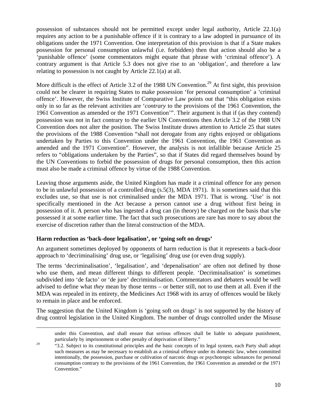possession of substances should not be permitted except under legal authority, Article 22.1(a) requires any action to be a punishable offence if it is contrary to a law adopted in pursuance of its obligations under the 1971 Convention. One interpretation of this provision is that if a State makes possession for personal consumption unlawful (i.e. forbidden) then that action should also be a 'punishable offence' (some commentators might equate that phrase with 'criminal offence'). A contrary argument is that Article 5.3 does not give rise to an 'obligation', and therefore a law relating to possession is not caught by Article 22.1(a) at all.

More difficult is the effect of Article 3.2 of the 1988 UN Convention.<sup>29</sup> At first sight, this provision could not be clearer in requiring States to make possession 'for personal consumption' a 'criminal offence'. However, the Swiss Institute of Comparative Law points out that "this obligation exists only in so far as the relevant activities are '*contrary* to the provisions of the 1961 Convention, the 1961 Convention as amended or the 1971 Convention'". Their argument is that if (as they contend) possession was not in fact contrary to the earlier UN Conventions then Article 3.2 of the 1988 UN Convention does not alter the position. The Swiss Institute draws attention to Article 25 that states the provisions of the 1988 Convention "shall not derogate from any rights enjoyed or obligations undertaken by Parties to this Convention under the 1961 Convention, the 1961 Convention as amended and the 1971 Convention". However, the analysis is not infallible because Article 25 refers to "obligations undertaken by the Parties", so that if States did regard themselves bound by the UN Conventions to forbid the possession of drugs for personal consumption, then this action must also be made a criminal offence by virtue of the 1988 Convention.

Leaving those arguments aside, the United Kingdom has made it a criminal offence for any person to be in unlawful possession of a controlled drug (s.5(3), MDA 1971). It is sometimes said that this excludes use, so that use is not criminalised under the MDA 1971. That is wrong. 'Use' is not specifically mentioned in the Act because a person cannot use a drug without first being in possession of it. A person who has ingested a drug can (in theory) be charged on the basis that s/he possessed it at some earlier time. The fact that such prosecutions are rare has more to say about the exercise of discretion rather than the literal construction of the MDA.

# **Harm reduction as 'back-door legalisation', or 'going soft on drugs'**

An argument sometimes deployed by opponents of harm reduction is that it represents a back-door approach to 'decriminalising' drug use, or 'legalising' drug use (or even drug supply).

The terms 'decriminalisation', 'legalisation', and 'depenalisation' are often not defined by those who use them, and mean different things to different people. 'Decriminalisation' is sometimes subdivided into 'de facto' or 'de jure' decriminalisation. Commentators and debaters would be well advised to define what *they* mean by those terms – or better still, not to use them at all. Even if the MDA was repealed in its entirety, the Medicines Act 1968 with its array of offences would be likely to remain in place and be enforced.

The suggestion that the United Kingdom is 'going soft on drugs' is not supported by the history of drug control legislation in the United Kingdom. The number of drugs controlled under the Misuse

 under this Convention, and shall ensure that serious offences shall be liable to adequate punishment, particularly by imprisonment or other penalty of deprivation of liberty."

 $29$  "3.2. Subject to its constitutional principles and the basic concepts of its legal system, each Party shall adopt such measures as may be necessary to establish as a criminal offence under its domestic law, when committed intentionally, the possession, purchase or cultivation of narcotic drugs or psychotropic substances for personal consumption contrary to the provisions of the 1961 Convention, the 1961 Convention as amended or the 1971 Convention."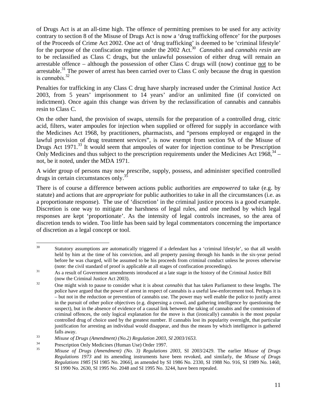of Drugs Act is at an all-time high. The offence of permitting premises to be used for any activity contrary to section 8 of the Misuse of Drugs Act is now a 'drug trafficking offence' for the purposes of the Proceeds of Crime Act 2002. One act of 'drug trafficking' is deemed to be 'criminal lifestyle' for the purpose of the confiscation regime under the 2002 Act.30 *Cannabis* and *cannabis resin* are to be reclassified as Class C drugs, but the unlawful possession of either drug will remain an arrestable offence – although the possession of other Class C drugs will (now) continue not to be arrestable.<sup>31</sup> The power of arrest has been carried over to Class C only because the drug in question is *cannabis*. 32

Penalties for trafficking in any Class C drug have sharply increased under the Criminal Justice Act 2003, from 5 years' imprisonment to 14 years' and/or an unlimited fine (if convicted on indictment). Once again this change was driven by the reclassification of cannabis and cannabis resin to Class C.

On the other hand, the provision of swaps, utensils for the preparation of a controlled drug, citric acid, filters, water ampoules for injection when supplied or offered for supply in accordance with the Medicines Act 1968, by practitioners, pharmacists, and "persons employed or engaged in the lawful provision of drug treatment services", is now exempt from section 9A of the Misuse of Drugs Act 1971.<sup>33</sup> It would seem that ampoules of water for injection continue to be Prescription Only Medicines and thus subject to the prescription requirements under the Medicines Act  $1968$ ,  $34$ not, be it noted, under the MDA 1971.

A wider group of persons may now prescribe, supply, possess, and administer specified controlled drugs in certain circumstances only.35

There is of course a difference between actions public authorities are *empowered* to take (e.g. by statute) and actions that are *appropriate* for public authorities to take in all the circumstances (i.e. as a proportionate response). The use of 'discretion' in the criminal justice process is a good example. Discretion is one way to mitigate the harshness of legal rules, and one method by which legal responses are kept 'proportionate'. As the intensity of legal controls increases, so the area of discretion tends to widen. Too little has been said by legal commentators concerning the importance of discretion as a legal concept or tool.

 $30<sup>°</sup>$ Statutory assumptions are automatically triggered if a defendant has a 'criminal lifestyle', so that all wealth held by him at the time of his conviction, and all property passing through his hands in the six-year period before he was charged, will be assumed to be his proceeds from criminal conduct unless he proves otherwise

<sup>(</sup>note: the civil standard of proof is applicable at all stages of confiscation proceedings). 31 As a result of Government amendments introduced at a late stage in the history of the Criminal Justice Bill (now the Criminal Justice Act 2003). 32 One might wish to pause to consider what it is about *cannabis* that has taken Parliament to these lengths. The

police have argued that the power of arrest in respect of cannabis is a useful law-enforcement tool. Perhaps it is – but not in the reduction or prevention of cannabis use. The power may well enable the police to justify arrest in the pursuit of other police objectives (e.g. dispersing a crowd, and gathering intelligence by questioning the suspect), but in the absence of evidence of a causal link between the taking of cannabis and the commission of criminal offences, the only logical explanation for the move is that (ironically) cannabis is the most popular controlled drug of choice used by the greatest number. If cannabis lost its popularity overnight, that particular justification for arresting an individual would disappear, and thus the means by which intelligence is gathered

falls away. 33 *Misuse of Drugs (Amendment) (No.2) Regulation 2003, SI 2003/1653.*

<sup>&</sup>lt;sup>34</sup> Prescription Only Medicines (Human Use) Order 1997.<br> *Minuse of Drugs (Amendmant)* (*No.* <sup>3</sup>) *Pequlations* 

<sup>35</sup> *Misuse of Drugs (Amendment) (No. 3) Regulations 2003,* SI 2003/2429. The earlier *Misuse of Drugs Regulations 1973* and its amending instruments have been revoked, and similarly, the *Misuse of Drugs Regulations 1985* [SI 1985 No. 2066], as amended by SI 1986 No. 2330, SI 1988 No. 916, SI 1989 No. 1460, SI 1990 No. 2630, SI 1995 No. 2048 and SI 1995 No. 3244, have been repealed.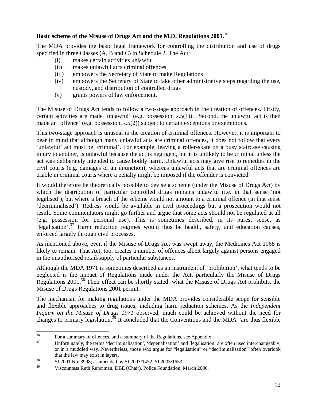# **Basic scheme of the Misuse of Drugs Act and the M.D. Regulations 2001.**<sup>36</sup>

The MDA provides the basic legal framework for controlling the distribution and use of drugs specified in three Classes (A, B and C) in Schedule 2. The Act:

- (i) makes certain activities unlawful
- (ii) makes unlawful acts criminal offences
- (iii) empowers the Secretary of State to make Regulations
- (iv) empowers the Secretary of State to take other administrative steps regarding the use, custody, and distribution of controlled drugs
- (v) grants powers of law enforcement.

The Misuse of Drugs Act tends to follow a two-stage approach in the creation of offences. Firstly, certain activities are made 'unlawful' (e.g. possession, s.5(1)). Second, the unlawful act is then made an 'offence' (e.g. possession, s.5(2)) subject to certain exceptions or exemptions.

This two-stage approach is unusual in the creation of criminal offences. However, it is important to bear in mind that although many unlawful acts are criminal offences, it does not follow that every 'unlawful' act must be 'criminal'. For example, leaving a roller-skate on a busy staircase causing injury to another, is unlawful because the act is negligent, but it is unlikely to be criminal unless the act was deliberately intended to cause bodily harm. Unlawful acts may give rise to remedies in the civil courts (e.g. damages or an injunction), whereas unlawful acts that are criminal offences are triable in criminal courts where a penalty might be imposed if the offender is convicted.

It would therefore be theoretically possible to devise a scheme (under the Misuse of Drugs Act) by which the distribution of particular controlled drugs remains unlawful (i.e. in that sense 'not legalised'), but where a breach of the scheme would not amount to a criminal offence (in that sense 'decriminalised'). Redress would be available in civil proceedings but a prosecution would not result. Some commentators might go further and argue that some acts should not be regulated at all (e.g. possession for personal use). This is sometimes described, in its purest sense, as 'legalisation'.37 Harm reduction regimes would thus be health, safety, and education causes, enforced largely through civil processes.

As mentioned above, even if the Misuse of Drugs Act was swept away, the Medicines Act 1968 is likely to remain. That Act, too, creates a number of offences albeit largely against persons engaged in the unauthorised retail/supply of particular substances.

Although the MDA 1971 is sometimes described as an instrument of 'prohibition', what tends to be neglected is the impact of Regulations made under the Act, particularly the Misuse of Drugs Regulations 2001.<sup>38</sup> Their effect can be shortly stated: what the Misuse of Drugs Act prohibits, the Misuse of Drugs Regulations 2001 permit.

The mechanism for making regulations under the MDA provides considerable scope for sensible and flexible approaches to drug issues, including harm reduction schemes. As the *Independent Inquiry on the Misuse of Drugs 1971* observed, much could be achieved without the need for changes to primary legislation.<sup>39</sup> It concluded that the Conventions and the MDA "are thus flexible"

<sup>36</sup> 

<sup>&</sup>lt;sup>36</sup> For a summary of offences, and a summary of the Regulations, see Appendix.<br><sup>37</sup> Unfortunately, the terms 'decriminalisation', 'depenalisation' and 'legalisation' are often used interchangeably, or in a muddled way. Nevertheless, those who argue for "legalisation" or "decriminalisation" often overlook

that the law may exist in layers.<br>
SI 2001 No. 3998; as amended by SI 2003/1432; SI 2003/1653.<br>
Si 2003/1653.

Viscountess Ruth Runciman, DBE (Chair), Police Foundation, March 2000.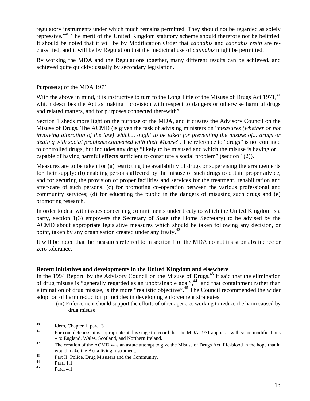regulatory instruments under which much remains permitted. They should not be regarded as solely repressive."<sup>40</sup> The merit of the United Kingdom statutory scheme should therefore not be belittled. It should be noted that it will be by Modification Order that *cannabis* and *cannabis resin* are reclassified, and it will be by Regulation that the medicinal use of *cannabis* might be permitted.

By working the MDA and the Regulations together, many different results can be achieved, and achieved quite quickly: usually by secondary legislation.

#### Purpose(s) of the MDA 1971

With the above in mind, it is instructive to turn to the Long Title of the Misuse of Drugs Act  $1971<sup>41</sup>$ which describes the Act as making "provision with respect to dangers or otherwise harmful drugs and related matters, and for purposes connected therewith".

Section 1 sheds more light on the purpose of the MDA, and it creates the Advisory Council on the Misuse of Drugs. The ACMD (is given the task of advising ministers on "*measures (whether or not involving alteration of the law) which... ought to be taken for preventing the misuse of... drugs or dealing with social problems connected with their Misuse*". The reference to "drugs" is not confined to controlled drugs, but includes any drug "likely to be misused and which the misuse is having or... capable of having harmful effects sufficient to constitute a social problem" (section 1(2)).

Measures are to be taken for (a) restricting the availability of drugs or supervising the arrangements for their supply; (b) enabling persons affected by the misuse of such drugs to obtain proper advice, and for securing the provision of proper facilities and services for the treatment, rehabilitation and after-care of such persons; (c) for promoting co-operation between the various professional and community services; (d) for educating the public in the dangers of misusing such drugs and (e) promoting research.

In order to deal with issues concerning commitments under treaty to which the United Kingdom is a party, section 1(3) empowers the Secretary of State (the Home Secretary) to be advised by the ACMD about appropriate legislative measures which should be taken following any decision, or point, taken by any organisation created under any treaty.<sup>42</sup>

It will be noted that the measures referred to in section 1 of the MDA do not insist on abstinence or zero tolerance.

# **Recent initiatives and developments in the United Kingdom and elsewhere**

In the 1994 Report, by the Advisory Council on the Misuse of Drugs,  $43$  it said that the elimination of drug misuse is "generally regarded as an unobtainable goal",<sup>44</sup> and that containment rather than elimination of drug misuse, is the more "realistic objective".45 The Council recommended the wider adoption of harm reduction principles in developing enforcement strategies:

 (iii) Enforcement should support the efforts of other agencies working to reduce the harm caused by drug misuse.

 $\overline{a}$ 

 $^{40}$  Idem, Chapter 1, para. 3.

<sup>41</sup> For completeness, it is appropriate at this stage to record that the MDA 1971 applies – with some modifications – to England, Wales, Scotland, and Northern Ireland. 42 The creation of the ACMD was an astute attempt to give the Misuse of Drugs Act life-blood in the hope that it

would make the Act a living instrument.<br><sup>43</sup> Part II: Police, Drug Misusers and the Community.

 $^{44}$  Para. 1.1.

Para. 4.1.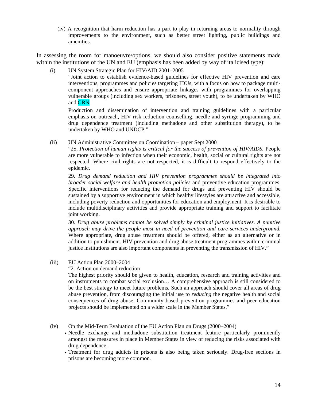(iv) A recognition that harm reduction has a part to play in returning areas to normality through improvements to the environment, such as better street lighting, public buildings and amenities.

In assessing the room for manoeuvre/options, we should also consider positive statements made within the institutions of the UN and EU (emphasis has been added by way of italicised type):

(i) UN System Strategic Plan for HIV/AID 2001–2005

"Joint action to establish evidence-based guidelines for effective HIV prevention and care interventions, programmes and policies targeting IDUs, with a focus on how to package multicomponent approaches and ensure appropriate linkages with programmes for overlapping vulnerable groups (including sex workers, prisoners, street youth), to be undertaken by WHO and GRN.

Production and dissemination of intervention and training guidelines with a particular emphasis on outreach, HIV risk reduction counselling, needle and syringe programming and drug dependence treatment (including methadone and other substitution therapy), to be undertaken by WHO and UNDCP."

(ii) UN Administrative Committee on Coordination – paper Sept 2000

"25. *Protection of human rights is critical for the success of prevention of HIV/AIDS.* People are more vulnerable to infection when their economic, health, social or cultural rights are not respected. Where civil rights are not respected, it is difficult to respond effectively to the epidemic.

29. *Drug demand reduction and HIV prevention programmes should be integrated into broader social welfare and health promotion policies* and preventive education programmes. Specific interventions for reducing the demand for drugs and preventing HIV should be sustained by a supportive environment in which healthy lifestyles are attractive and accessible, including poverty reduction and opportunities for education and employment. It is desirable to include multidisciplinary activities and provide appropriate training and support to facilitate joint working.

30. *Drug abuse problems cannot be solved simply by criminal justice initiatives. A punitive approach may drive the people most in need of prevention and care services underground.* Where appropriate, drug abuse treatment should be offered, either as an alternative or in addition to punishment. HIV prevention and drug abuse treatment programmes within criminal justice institutions are also important components in preventing the transmission of HIV."

(iii) EU Action Plan 2000–2004

#### "2. Action on demand reduction

The highest priority should be given to health, education, research and training activities and on instruments to combat social exclusion… A comprehensive approach is still considered to be the best strategy to meet future problems. Such an approach should cover all areas of drug abuse prevention, from discouraging the initial use to *reducing* the negative health and social consequences of drug abuse. Community based prevention programmes and peer education projects should be implemented on a wider scale in the Member States."

(iv) On the Mid-Term Evaluation of the EU Action Plan on Drugs (2000–2004)

- Needle exchange and methadone substitution treatment feature particularly prominently amongst the measures in place in Member States in view of reducing the risks associated with drug dependence.
- Treatment for drug addicts in prisons is also being taken seriously. Drug-free sections in prisons are becoming more common.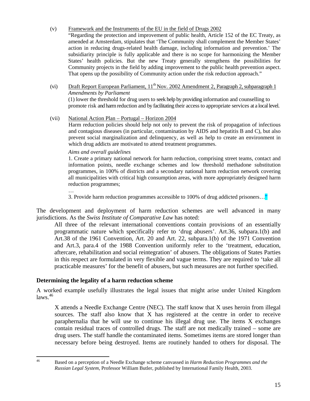## (v) Framework and the Instruments of the EU in the field of Drugs 2002

"Regarding the protection and improvement of public health, Article 152 of the EC Treaty, as amended at Amsterdam, stipulates that 'The Community shall complement the Member States' action in reducing drugs-related health damage, including information and prevention.' The subsidiarity principle is fully applicable and there is no scope for harmonizing the Member States' health policies. But the new Treaty generally strengthens the possibilities for Community projects in the field by adding improvement to the public health prevention aspect. That opens up the possibility of Community action under the risk reduction approach."

## (vi) Draft Report European Parliament,  $11^{th}$  Nov. 2002 Amendment 2, Paragraph 2, subparagraph 1 *Amendments by Parliament*

(1) lower the threshold for drug users to seek help by providing information and counselling to promote risk and harm reduction and by facilitating their access to appropriate services at a local level.

## (vii) National Action Plan – Portugal – Horizon 2004

Harm reduction policies should help not only to prevent the risk of propagation of infectious and contagious diseases (in particular, contamination by AIDS and hepatitis B and C), but also prevent social marginalization and delinquency, as well as help to create an environment in which drug addicts are motivated to attend treatment programmes.

#### *Aims and overall guidelines*

1. Create a primary national network for harm reduction, comprising street teams, contact and information points, needle exchange schemes and low threshold methadone substitution programmes, in 100% of districts and a secondary national harm reduction network covering all municipalities with critical high consumption areas, with more appropriately designed harm reduction programmes;

… 3. Provide harm reduction programmes accessible to 100% of drug addicted prisoners…"

The development and deployment of harm reduction schemes are well advanced in many jurisdictions. As the *Swiss Institute of Comparative Law* has noted:

All three of the relevant international conventions contain provisions of an essentially programmatic nature which specifically refer to 'drug abusers'. Art.36, subpara.1(b) and Art.38 of the 1961 Convention, Art. 20 and Art. 22, subpara.1(b) of the 1971 Convention and Art.3, para.4 of the 1988 Convention uniformly refer to the 'treatment, education, aftercare, rehabilitation and social reintegration' of abusers. The obligations of States Parties in this respect are formulated in very flexible and vague terms. They are required to 'take all practicable measures' for the benefit of abusers, but such measures are not further specified.

#### **Determining the legality of a harm reduction scheme**

A worked example usefully illustrates the legal issues that might arise under United Kingdom  $laws.<sup>46</sup>$ 

X attends a Needle Exchange Centre (NEC). The staff know that X uses heroin from illegal sources. The staff also know that X has registered at the centre in order to receive paraphernalia that he will use to continue his illegal drug use. The items X exchanges contain residual traces of controlled drugs. The staff are not medically trained – some are drug users. The staff handle the contaminated items. Sometimes items are stored longer than necessary before being destroyed. Items are routinely handed to others for disposal. The

 $46$ 46 Based on a perception of a Needle Exchange scheme canvassed in *Harm Reduction Programmes and the Russian Legal System*, Professor William Butler, published by International Family Health, 2003.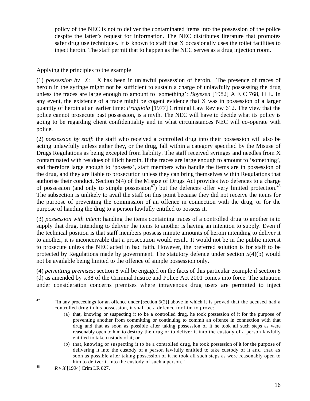policy of the NEC is not to deliver the contaminated items into the possession of the police despite the latter's request for information. The NEC distributes literature that promotes safer drug use techniques. It is known to staff that X occasionally uses the toilet facilities to inject heroin. The staff permit that to happen as the NEC serves as a drug injection room.

## Applying the principles to the example

(1) *possession by X*: X has been in unlawful possession of heroin. The presence of traces of heroin in the syringe might not be sufficient to sustain a charge of unlawfully possessing the drug unless the traces are large enough to amount to 'something': *Boyesen* [1982] A E C 768, H L. In any event, the existence of a trace might be cogent evidence that X was in possession of a larger quantity of heroin at an earlier time: *Pragliola* [1977] Criminal Law Review 612. The view that the police cannot prosecute past possession, is a myth. The NEC will have to decide what its policy is going to be regarding client confidentiality and in what circumstances NEC will co-operate with police.

(2) *possession by staff*: the staff who received a controlled drug into their possession will also be acting unlawfully unless either they, or the drug, fall within a category specified by the Misuse of Drugs Regulations as being excepted from liability. The staff received syringes and needles from X contaminated with residues of illicit heroin. If the traces are large enough to amount to 'something', and therefore large enough to 'possess', staff members who handle the items are in possession of the drug, and they are liable to prosecution unless they can bring themselves within Regulations that authorise their conduct. Section 5(4) of the Misuse of Drugs Act provides two defences to a charge of possession (and only to simple possession<sup>47</sup>) but the defences offer very limited protection.<sup>48</sup> The subsection is unlikely to avail the staff on this point because they did not receive the items for the purpose of preventing the commission of an offence in connection with the drug, or for the purpose of handing the drug to a person lawfully entitled to possess it.

(3) *possession with intent*: handing the items containing traces of a controlled drug to another is to supply that drug. Intending to deliver the items to another is having an intention to supply. Even if the technical position is that staff members possess minute amounts of heroin intending to deliver it to another, it is inconceivable that a prosecution would result. It would not be in the public interest to prosecute unless the NEC acted in bad faith. However, the preferred solution is for staff to be protected by Regulations made by government. The statutory defence under section 5(4)(b) would not be available being limited to the offence of simple possession only.

(4) *permitting premises*: section 8 will be engaged on the facts of this particular example if section 8 (d) as amended by s.38 of the Criminal Justice and Police Act 2001 comes into force. The situation under consideration concerns premises where intravenous drug users are permitted to inject

 $47$ "In any proceedings for an offence under [section  $5(2)$ ] above in which it is proved that the accused had a controlled drug in his possession, it shall be a defence for him to prove:

<sup>(</sup>a) that, knowing or suspecting it to be a controlled drug, he took possession of it for the purpose of preventing another from committing or continuing to commit an offence in connection with that drug and that as soon as possible after taking possession of it he took all such steps as were reasonably open to him to destroy the drug or to deliver it into the custody of a person lawfully entitled to take custody of it; or

<sup>(</sup>b) that, knowing or suspecting it to be a controlled drug, he took possession of it for the purpose of delivering it into the custody of a person lawfully entitled to take custody of it and that as soon as possible after taking possession of it he took all such steps as were reasonably open to <sup>48</sup> him to deliver it into the custody of such a person."<br><sup>48</sup> *R v X* [1994] Crim LR 827.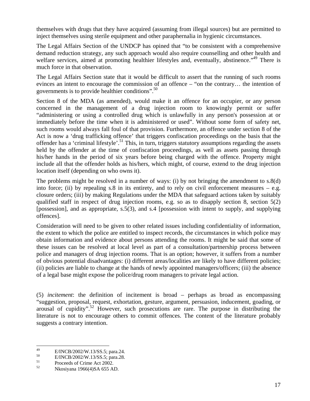themselves with drugs that they have acquired (assuming from illegal sources) but are permitted to inject themselves using sterile equipment and other paraphernalia in hygienic circumstances.

The Legal Affairs Section of the UNDCP has opined that "to be consistent with a comprehensive demand reduction strategy, any such approach would also require counselling and other health and welfare services, aimed at promoting healthier lifestyles and, eventually, abstinence."<sup>49</sup> There is much force in that observation.

The Legal Affairs Section state that it would be difficult to assert that the running of such rooms evinces an intent to encourage the commission of an offence – "on the contrary… the intention of governments is to provide healthier conditions".50

Section 8 of the MDA (as amended), would make it an offence for an occupier, or any person concerned in the management of a drug injection room to knowingly permit or suffer "administering or using a controlled drug which is unlawfully in any person's possession at or immediately before the time when it is administered or used". Without some form of safety net, such rooms would always fall foul of that provision. Furthermore, an offence under section 8 of the Act is now a 'drug trafficking offence' that triggers confiscation proceedings on the basis that the offender has a 'criminal lifestyle'.<sup>51</sup> This, in turn, triggers statutory assumptions regarding the assets held by the offender at the time of confiscation proceedings, as well as assets passing through his/her hands in the period of six years before being charged with the offence. Property might include all that the offender holds as his/hers, which might, of course, extend to the drug injection location itself (depending on who owns it).

The problems might be resolved in a number of ways: (i) by not bringing the amendment to s.8(d) into force; (ii) by repealing s.8 in its entirety, and to rely on civil enforcement measures  $-$  e.g. closure orders; (iii) by making Regulations under the MDA that safeguard actions taken by suitably qualified staff in respect of drug injection rooms, e.g. so as to disapply section 8, section 5(2) [possession], and as appropriate, s.5(3), and s.4 [possession with intent to supply, and supplying offences].

Consideration will need to be given to other related issues including confidentiality of information, the extent to which the police are entitled to inspect records, the circumstances in which police may obtain information and evidence about persons attending the rooms. It might be said that some of these issues can be resolved at local level as part of a consultation/partnership process between police and managers of drug injection rooms. That is an option; however, it suffers from a number of obvious potential disadvantages: (i) different areas/localities are likely to have different policies; (ii) policies are liable to change at the hands of newly appointed managers/officers; (iii) the absence of a legal base might expose the police/drug room managers to private legal action.

(5) *incitement*: the definition of incitement is broad – perhaps as broad as encompassing "suggestion, proposal, request, exhortation, gesture, argument, persuasion, inducement, goading, or arousal of cupidity".52 However, such prosecutions are rare. The purpose in distributing the literature is not to encourage others to commit offences. The content of the literature probably suggests a contrary intention.

<sup>49</sup>  $^{49}$  E/INCB/2002/W.13/SS.5; para.24.

 $^{50}$  E/INCB/2002/W.13/SS.5; para.28.

 $51$  Proceeds of Crime Act 2002.<br>Nkosiyang 1066(4)S A 655 Al

<sup>52</sup> Nkosiyana 1966(4)SA 655 AD.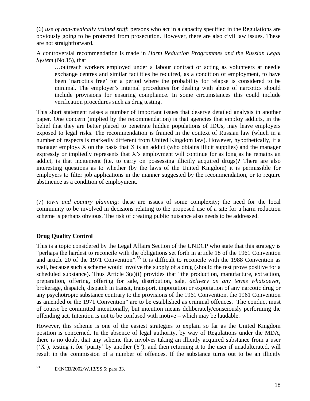(6) *use of non-medically trained staff*: persons who act in a capacity specified in the Regulations are obviously going to be protected from prosecution. However, there are also civil law issues. These are not straightforward.

A controversial recommendation is made in *Harm Reduction Programmes and the Russian Legal System* (No.15), that

…outreach workers employed under a labour contract or acting as volunteers at needle exchange centres and similar facilities be required, as a condition of employment, to have been 'narcotics free' for a period where the probability for relapse is considered to be minimal. The employer's internal procedures for dealing with abuse of narcotics should include provisions for ensuring compliance. In some circumstances this could include verification procedures such as drug testing.

This short statement raises a number of important issues that deserve detailed analysis in another paper. One concern (implied by the recommendation) is that agencies that employ addicts, in the belief that they are better placed to penetrate hidden populations of IDUs, may leave employers exposed to legal risks. The recommendation is framed in the context of Russian law (which in a number of respects is markedly different from United Kingdom law). However, hypothetically, if a manager employs  $X$  on the basis that  $X$  is an addict (who obtains illicit supplies) and the manager expressly or impliedly represents that X's employment will continue for as long as he remains an addict, is that incitement (i.e. to carry on possessing illicitly acquired drugs)? There are also interesting questions as to whether (by the laws of the United Kingdom) it is permissible for employers to filter job applications in the manner suggested by the recommendation, or to require abstinence as a condition of employment.

(7) *town and country planning*: these are issues of some complexity; the need for the local community to be involved in decisions relating to the proposed use of a site for a harm reduction scheme is perhaps obvious. The risk of creating public nuisance also needs to be addressed.

# **Drug Quality Control**

This is a topic considered by the Legal Affairs Section of the UNDCP who state that this strategy is "perhaps the hardest to reconcile with the obligations set forth in article 18 of the 1961 Convention and article 20 of the 1971 Convention".<sup>53</sup> It is difficult to reconcile with the 1988 Convention as well, because such a scheme would involve the supply of a drug (should the test prove positive for a scheduled substance). Thus Article 3(a)(i) provides that "the production, manufacture, extraction, preparation, offering, offering for sale, distribution, sale, *delivery on any terms whatsoever*, brokerage, dispatch, dispatch in transit, transport, importation or exportation of any narcotic drug or any psychotropic substance contrary to the provisions of the 1961 Convention, the 1961 Convention as amended or the 1971 Convention" are to be established as criminal offences. The conduct must of course be committed intentionally, but intention means deliberately/consciously performing the offending act. Intention is not to be confused with motive – which may be laudable.

However, this scheme is one of the easiest strategies to explain so far as the United Kingdom position is concerned. In the absence of legal authority, by way of Regulations under the MDA, there is no doubt that any scheme that involves taking an illicitly acquired substance from a user  $(YX)$ , testing it for 'purity' by another  $(Y)$ , and then returning it to the user if unadulterated, will result in the commission of a number of offences. If the substance turns out to be an illicitly

<sup>53</sup> 53 E/INCB/2002/W.13/SS.5; para.33.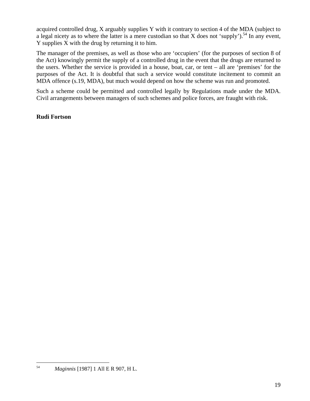acquired controlled drug, X arguably supplies Y with it contrary to section 4 of the MDA (subject to a legal nicety as to where the latter is a mere custodian so that X does not 'supply').<sup>54</sup> In any event, Y supplies X with the drug by returning it to him.

The manager of the premises, as well as those who are 'occupiers' (for the purposes of section 8 of the Act) knowingly permit the supply of a controlled drug in the event that the drugs are returned to the users. Whether the service is provided in a house, boat, car, or tent – all are 'premises' for the purposes of the Act. It is doubtful that such a service would constitute incitement to commit an MDA offence (s.19, MDA), but much would depend on how the scheme was run and promoted.

Such a scheme could be permitted and controlled legally by Regulations made under the MDA. Civil arrangements between managers of such schemes and police forces, are fraught with risk.

# **Rudi Fortson**

<sup>54</sup> 54 *Maginnis* [1987] 1 All E R 907, H L.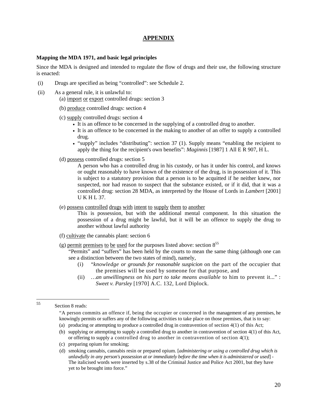## **APPENDIX**

#### **Mapping the MDA 1971, and basic legal principles**

Since the MDA is designed and intended to regulate the flow of drugs and their use, the following structure is enacted:

- (i) Drugs are specified as being "controlled": see Schedule 2.
- (ii) As a general rule, it is unlawful to:
	- (a) import or export controlled drugs: section 3
	- (b) produce controlled drugs: section 4
	- (c) supply controlled drugs: section 4
		- It is an offence to be concerned in the supplying of a controlled drug to another.
		- It is an offence to be concerned in the making to another of an offer to supply a controlled drug.
		- "supply" includes "distributing": section 37 (1). Supply means "enabling the recipient to apply the thing for the recipient's own benefits": *Maginnis* [1987] 1 All E R 907, H L.
	- (d) possess controlled drugs: section 5

 A person who has a controlled drug in his custody, or has it under his control, and knows or ought reasonably to have known of the existence of the drug, is in possession of it. This is subject to a statutory provision that a person is to be acquitted if he neither knew, nor suspected, nor had reason to suspect that the substance existed, or if it did, that it was a controlled drug: section 28 MDA, as interpreted by the House of Lords in *Lambert* [2001] U K H L 37.

(e) possess controlled drugs with intent to supply them to another

This is possession, but with the additional mental component. In this situation the possession of a drug might be lawful, but it will be an offence to supply the drug to another without lawful authority

- (f) cultivate the cannabis plant: section 6
- (g) permit premises to be used for the purposes listed above: section  $8^{55}$

"Permits" and "suffers" has been held by the courts to mean the same thing (although one can see a distinction between the two states of mind), namely,

- (i) "*knowledge or grounds for reasonable suspicion* on the part of the occupier that the premises will be used by someone for that purpose, and
- (ii) *…an unwillingness on his part to take means available* to him to prevent it..." : *Sweet v. Parsley* [1970] A.C. 132, Lord Diplock.

- (b) supplying or attempting to supply a controlled drug to another in contravention of section 4(1) of this Act, or offering to supply a controlled drug to another in contravention of section 4(1);
- (c) preparing opium for smoking;

<sup>55</sup> Section 8 reads:

<sup>&</sup>quot;A person commits an offence if, being the occupier or concerned in the management of any premises, he knowingly permits or suffers any of the following activities to take place on those premises, that is to say:

<sup>(</sup>a) producing or attempting to produce a controlled drug in contravention of section 4(1) of this Act;

<sup>(</sup>d) smoking cannabis, cannabis resin or prepared opium. [*administering or using a controlled drug which is unlawfully in any person's possession at or immediately before the time when it is administered or used*] - The italicised words were inserted by s.38 of the Criminal Justice and Police Act 2001, but they have yet to be brought into force."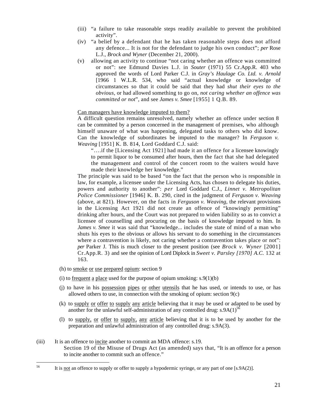- (iii) "a failure to take reasonable steps readily available to prevent the prohibited activity".
- (iv) "a belief by a defendant that he has taken reasonable steps does not afford any defence... It is not for the defendant to judge his own conduct"; *per* Rose L.J., *Brock and Wyner* (December 21, 2000).
- (v) allowing an activity to continue "not caring whether an offence was committed or not": see Edmund Davies L.J. in *Souter* (1971) 55 Cr.App.R. 403 who approved the words of Lord Parker C.J. in *Gray's Haulage Co. Ltd. v. Arnold* [1966 1 W.L.R. 534, who said "actual knowledge or knowledge of circumstances so that it could be said that they had *shut their eyes to the obvious,* or had allowed something to go on, *not caring whether an offence was committed or not*", and see *James v. Smee* [1955] 1 Q.B. 89.

#### Can managers have knowledge imputed to them?

A difficult question remains unresolved, namely whether an offence under section 8 can be committed by a person concerned in the management of premises, who although himself unaware of what was happening, delegated tasks to others who did know. Can the knowledge of subordinates be imputed to the manager? In *Ferguson v. Weaving* [1951] K. B. 814, Lord Goddard C.J. said:

"….if the [Licensing Act 1921] had made it an offence for a licensee knowingly to permit liquor to be consumed after hours, then the fact that she had delegated the management and control of the concert room to the waiters would have made their knowledge her knowledge."

 The principle was said to be based "on the fact that the person who is responsible in law, for example, a licensee under the Licensing Acts, has chosen to delegate his duties, powers and authority to another": *per* Lord Goddard C.J., *Linnet v. Metropolitan Police Commissioner* [1946] K. B. 290, cited in the judgment of *Ferguson v. Weaving*  (above, at 821). However, on the facts in *Ferguson v. Weaving,* the relevant provisions in the Licensing Act 1921 did not create an offence of "knowingly permitting" drinking after hours, and the Court was not prepared to widen liability so as to convict a licensee of counselling and procuring on the basis of knowledge imputed to him. In *James v. Smee* it was said that "knowledge... includes the state of mind of a man who shuts his eyes to the obvious or allows his servant to do something in the circumstances where a contravention is likely, not caring whether a contravention takes place or not": *per* Parker J. This is much closer to the present position (see *Brock v. Wyner* [2001] Cr.App.R. 3) and see the opinion of Lord Diplock in *Sweet v. Parsley [1970] A.C.* 132 at 163.

(h) to smoke or use prepared opium: section 9

56

- (i) to <u>frequent a place</u> used for the purpose of opium smoking:  $s.9(1)(b)$
- (j) to have in his possession pipes or other utensils that he has used, or intends to use, or has allowed others to use, in connection with the smoking of opium: section  $9(c)$
- (k) to supply or offer to supply any article believing that it may be used or adapted to be used by another for the unlawful self-administration of any controlled drug:  $s.9A(1)^{5\bar{6}}$
- (l) to supply, or offer to supply, any article believing that it is to be used by another for the preparation and unlawful administration of any controlled drug: s.9A(3).
- (iii) It is an offence to incite another to commit an MDA offence: s.19. Section 19 of the Misuse of Drugs Act (as amended) says that, "It is an offence for a person to incite another to commit such an offence."

It is not an offence to supply or offer to supply a hypodermic syringe, or any part of one [s.9A(2)].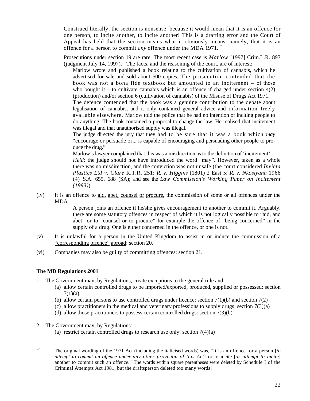Construed literally, the section is nonsense, because it would mean that it is an offence for one person, to incite another, to incite another! This is a drafting error and the Court of Appeal has held that the section means what it obviously means, namely, that it is an offence for a person to commit *any* offence under the MDA 1971.<sup>57</sup>

Prosecutions under section 19 are rare. The most recent case is *Marlow* [1997] Crim.L.R. 897 (judgment July 14, 1997). The facts, and the reasoning of the court, are of interest:

Marlow wrote and published a book relating to the cultivation of cannabis, which he advertised for sale and sold about 500 copies. The prosecution contended that the book was not a bona fide textbook but amounted to an incitement – of those who bought it – to cultivate cannabis which is an offence if charged under section  $4(2)$ (production) and/or section 6 (cultivation of cannabis) of the Misuse of Drugs Act 1971. The defence contended that the book was a genuine contribution to the debate about legalisation of cannabis, and it only contained general advice and information freely available elsewhere. Marlow told the police that he had no intention of inciting people to do anything. The book contained a proposal to change the law. He realised that incitement was illegal and that unauthorised supply was illegal.

The judge directed the jury that they had to be sure that it was a book which *may*  "encourage or persuade or... is capable of encouraging and persuading other people to produce the drug."

Marlow's lawyer complained that this was a misdirection as to the definition of 'incitement'. *Held:* the judge should not have introduced the word "may". However, taken as a whole

there was no misdirection, and the conviction was not unsafe (the court considered *Invicta Plastics Ltd v. Clare* R.T.R. 251; *R. v. Higgins* (1801) 2 East 5; *R. v. Nkosiyana* 1966 (4) S.A. 655, 688 (SA); and see the *Law Commission's Working Paper on Incitement (1993)*).

(iv) It is an offence to aid, abet, counsel or procure, the commission of some or all offences under the MDA.

A person joins an offence if he/she gives encouragement to another to commit it. Arguably, there are some statutory offences in respect of which it is not logically possible to "aid, and abet" or to "counsel or to procure" for example the offence of "being concerned" in the supply of a drug. One is either concerned in the offence, or one is not.

- (v) It is unlawful for a person in the United Kingdom to assist in or induce the commission of a "corresponding offence" abroad: section 20.
- (vi) Companies may also be guilty of committing offences: section 21.

#### **The MD Regulations 2001**

- 1. The Government may, by Regulations, create exceptions to the general rule and:
	- (a) allow certain controlled drugs to be imported/exported, produced, supplied or possessed: section  $7(1)(a)$
	- (b) allow certain persons to use controlled drugs under licence: section  $7(1)(b)$  and section  $7(2)$
	- (c) allow practitioners in the medical and veterinary professions to supply drugs: section 7(3)(a)
	- (d) allow those practitioners to possess certain controlled drugs: section  $7(3)(b)$
- 2. The Government may, by Regulations:
	- (a) restrict certain controlled drugs to research use only: section 7(4)(a)

<sup>57</sup> 57 The original wording of the 1971 Act (including the italicised words) was, "It is an offence for a person [*to attempt to commit an offence under any other provision of this Act*] or to incite [*or attempt to incite*] another to commit such an offence." The words within square parentheses were deleted by Schedule I of the Criminal Attempts Act 1981, but the draftsperson deleted too many words!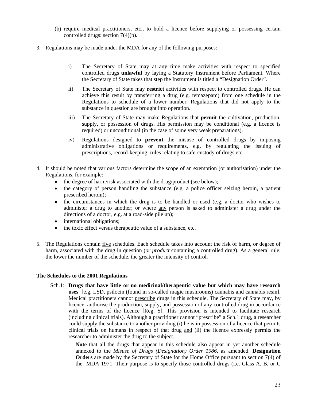- (b) require medical practitioners, etc., to hold a licence before supplying or possessing certain controlled drugs: section 7(4)(b).
- 3. Regulations may be made under the MDA for any of the following purposes:
	- i) The Secretary of State may at any time make activities with respect to specified controlled drugs **unlawful** by laying a Statutory Instrument before Parliament. Where the Secretary of State takes that step the Instrument is titled a "Designation Order".
	- ii) The Secretary of State may **restrict** activities with respect to controlled drugs. He can achieve this result by transferring a drug (e.g. temazepam) from one schedule in the Regulations to schedule of a lower number. Regulations that did not apply to the substance in question are brought into operation.
	- iii) The Secretary of State may make Regulations that **permit** the cultivation, production, supply, or possession of drugs. His permission may be conditional (e.g. a licence is required) or unconditional (in the case of some very weak preparations).
	- iv) Regulations designed to **prevent** the misuse of controlled drugs by imposing administrative obligations or requirements, e.g. by regulating the issuing of prescriptions, record-keeping; rules relating to safe-custody of drugs etc.
- 4. It should be noted that various factors determine the scope of an exemption (or authorisation) under the Regulations, for example:
	- the degree of harm/risk associated with the drug/product (see below);
	- the category of person handling the substance (e.g. a police officer seizing heroin, a patient prescribed heroin);
	- the circumstances in which the drug is to be handled or used (e.g. a doctor who wishes to administer a drug to another; or where any person is asked to administer a drug under the directions of a doctor, e.g. at a road-side pile up);
	- international obligations;
	- the toxic effect versus therapeutic value of a substance, etc.
- 5. The Regulations contain five schedules. Each schedule takes into account the risk of harm, or degree of harm, associated with the drug in question (*or product* containing a controlled drug). As a general rule, the lower the number of the schedule, the greater the intensity of control.

#### **The Schedules to the 2001 Regulations**

Sch.1: **Drugs that have little or no medicinal/therapeutic value but which may have research uses** [e.g. LSD, psilocin (found in so-called magic mushrooms) cannabis and cannabis resin]. Medical practitioners cannot prescribe drugs in this schedule. The Secretary of State may, by licence, authorise the production, supply, and possession of any controlled drug in accordance with the terms of the licence [Reg. 5]. This provision is intended to facilitate research (including clinical trials). Although a practitioner cannot "prescribe" a Sch.1 drug, a researcher could supply the substance to another providing (i) he is in possession of a licence that permits clinical trials on humans in respect of that drug and (ii) the licence expressly permits the researcher to administer the drug to the subject.

> **Note** that all the drugs that appear in this schedule also appear in yet another schedule annexed to the *Misuse of Drugs (Designation) Order 1986*, as amended. **Designation Orders** are made by the Secretary of State for the Home Office pursuant to section 7(4) of the MDA 1971. Their purpose is to specify those controlled drugs (i.e. Class A, B, or C